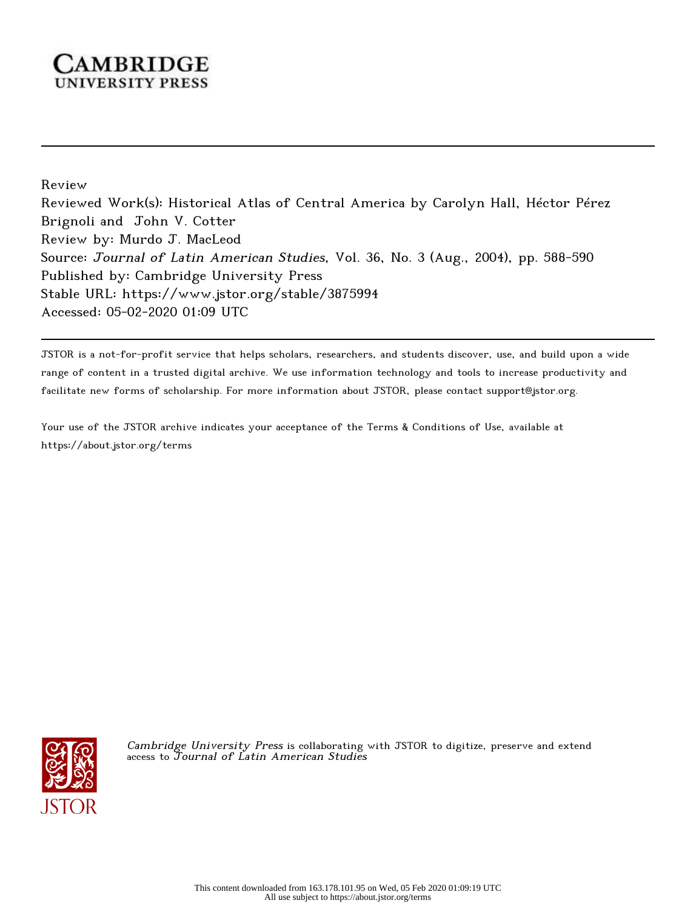## **CAMBRIDGE** UNIVERSITY PRESS

Review

Reviewed Work(s): Historical Atlas of Central America by Carolyn Hall, Héctor Pérez Brignoli and John V. Cotter Review by: Murdo J. MacLeod Source: Journal of Latin American Studies, Vol. 36, No. 3 (Aug., 2004), pp. 588-590 Published by: Cambridge University Press Stable URL: https://www.jstor.org/stable/3875994 Accessed: 05-02-2020 01:09 UTC

JSTOR is a not-for-profit service that helps scholars, researchers, and students discover, use, and build upon a wide range of content in a trusted digital archive. We use information technology and tools to increase productivity and facilitate new forms of scholarship. For more information about JSTOR, please contact support@jstor.org.

Your use of the JSTOR archive indicates your acceptance of the Terms & Conditions of Use, available at https://about.jstor.org/terms



Cambridge University Press is collaborating with JSTOR to digitize, preserve and extend access to Journal of Latin American Studies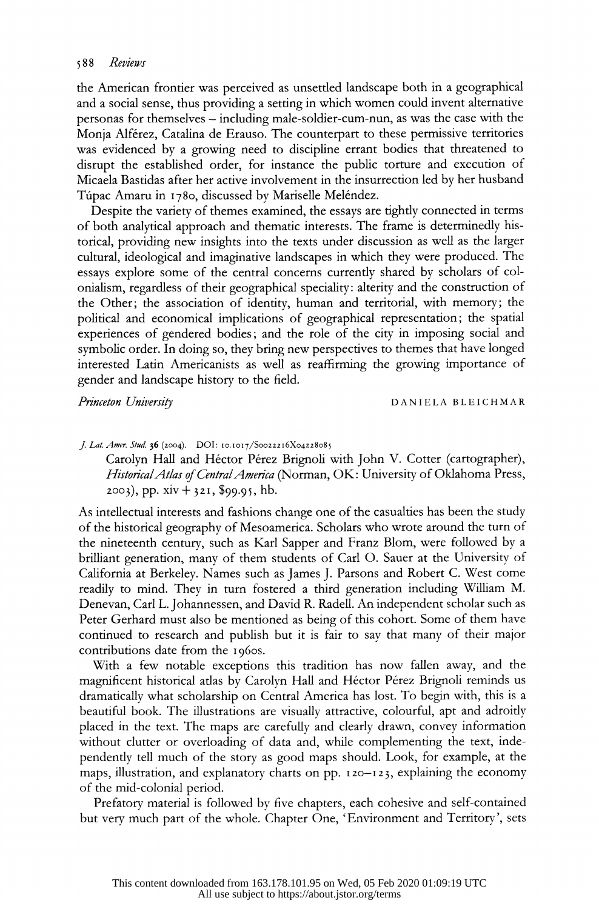## 588 Reviews

 the American frontier was perceived as unsettled landscape both in a geographical and a social sense, thus providing a setting in which women could invent alternative personas for themselves - including male-soldier-cum-nun, as was the case with the Monja Alferez, Catalina de Erauso. The counterpart to these permissive territories was evidenced by a growing need to discipline errant bodies that threatened to disrupt the established order, for instance the public torture and execution of Micaela Bastidas after her active involvement in the insurrection led by her husband Túpac Amaru in 1780, discussed by Mariselle Meléndez.

 Despite the variety of themes examined, the essays are tightly connected in terms of both analytical approach and thematic interests. The frame is determinedly his torical, providing new insights into the texts under discussion as well as the larger cultural, ideological and imaginative landscapes in which they were produced. The essays explore some of the central concerns currently shared by scholars of col onialism, regardless of their geographical speciality: alterity and the construction of the Other; the association of identity, human and territorial, with memory; the political and economical implications of geographical representation; the spatial experiences of gendered bodies; and the role of the city in imposing social and symbolic order. In doing so, they bring new perspectives to themes that have longed interested Latin Americanists as well as reaffirming the growing importance of gender and landscape history to the field.

Princeton University **DANIELA BLEICHMAR** 

J. Lat. Amer. Stud. 36 (2004). DOI: 10.1017/Soo22216X04228085

Carolyn Hall and Héctor Pérez Brignoli with John V. Cotter (cartographer), Historical Atlas of Central America (Norman, OK: University of Oklahoma Press,  $2003$ , pp.  $xiv + 321$ , \$99.95, hb.

 As intellectual interests and fashions change one of the casualties has been the study of the historical geography of Mesoamerica. Scholars who wrote around the turn of the nineteenth century, such as Karl Sapper and Franz Blom, were followed by a brilliant generation, many of them students of Carl O. Sauer at the University of California at Berkeley. Names such as James J. Parsons and Robert C. West come readily to mind. They in turn fostered a third generation including William M. Denevan, Carl L. Johannessen, and David R. Radell. An independent scholar such as Peter Gerhard must also be mentioned as being of this cohort. Some of them have continued to research and publish but it is fair to say that many of their major contributions date from the 1960s.

 With a few notable exceptions this tradition has now fallen away, and the magnificent historical atlas by Carolyn Hall and Héctor Pérez Brignoli reminds us dramatically what scholarship on Central America has lost. To begin with, this is a beautiful book. The illustrations are visually attractive, colourful, apt and adroitly placed in the text. The maps are carefully and clearly drawn, convey information without clutter or overloading of data and, while complementing the text, inde pendently tell much of the story as good maps should. Look, for example, at the maps, illustration, and explanatory charts on pp. 120-123, explaining the economy of the mid-colonial period.

 Prefatory material is followed by five chapters, each cohesive and self-contained but very much part of the whole. Chapter One, 'Environment and Territory', sets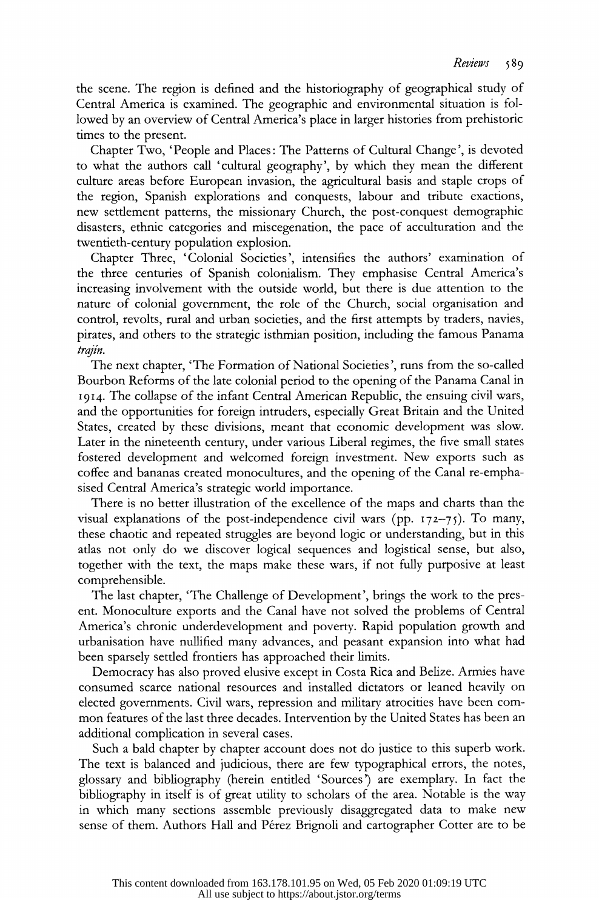the scene. The region is defined and the historiography of geographical study of Central America is examined. The geographic and environmental situation is fol lowed by an overview of Central America's place in larger histories from prehistoric times to the present.

 Chapter Two, 'People and Places: The Patterns of Cultural Change', is devoted to what the authors call 'cultural geography', by which they mean the different culture areas before European invasion, the agricultural basis and staple crops of the region, Spanish explorations and conquests, labour and tribute exactions, new settlement patterns, the missionary Church, the post-conquest demographic disasters, ethnic categories and miscegenation, the pace of acculturation and the twentieth-century population explosion.

 Chapter Three, 'Colonial Societies', intensifies the authors' examination of the three centuries of Spanish colonialism. They emphasise Central America's increasing involvement with the outside world, but there is due attention to the nature of colonial government, the role of the Church, social organisation and control, revolts, rural and urban societies, and the first attempts by traders, navies, pirates, and others to the strategic isthmian position, including the famous Panama trajin.

 The next chapter, 'The Formation of National Societies', runs from the so-called Bourbon Reforms of the late colonial period to the opening of the Panama Canal in 1914. The collapse of the infant Central American Republic, the ensuing civil wars, and the opportunities for foreign intruders, especially Great Britain and the United States, created by these divisions, meant that economic development was slow. Later in the nineteenth century, under various Liberal regimes, the five small states fostered development and welcomed foreign investment. New exports such as coffee and bananas created monocultures, and the opening of the Canal re-empha sised Central America's strategic world importance.

 There is no better illustration of the excellence of the maps and charts than the visual explanations of the post-independence civil wars (pp.  $172-75$ ). To many, these chaotic and repeated struggles are beyond logic or understanding, but in this atlas not only do we discover logical sequences and logistical sense, but also, together with the text, the maps make these wars, if not fully purposive at least comprehensible.

 The last chapter, 'The Challenge of Development', brings the work to the pres ent. Monoculture exports and the Canal have not solved the problems of Central America's chronic underdevelopment and poverty. Rapid population growth and urbanisation have nullified many advances, and peasant expansion into what had been sparsely settled frontiers has approached their limits.

 Democracy has also proved elusive except in Costa Rica and Belize. Armies have consumed scarce national resources and installed dictators or leaned heavily on elected governments. Civil wars, repression and military atrocities have been com mon features of the last three decades. Intervention by the United States has been an additional complication in several cases.

 Such a bald chapter by chapter account does not do justice to this superb work. The text is balanced and judicious, there are few typographical errors, the notes, glossary and bibliography (herein entitled 'Sources') are exemplary. In fact the bibliography in itself is of great utility to scholars of the area. Notable is the way in which many sections assemble previously disaggregated data to make new sense of them. Authors Hall and Pérez Brignoli and cartographer Cotter are to be